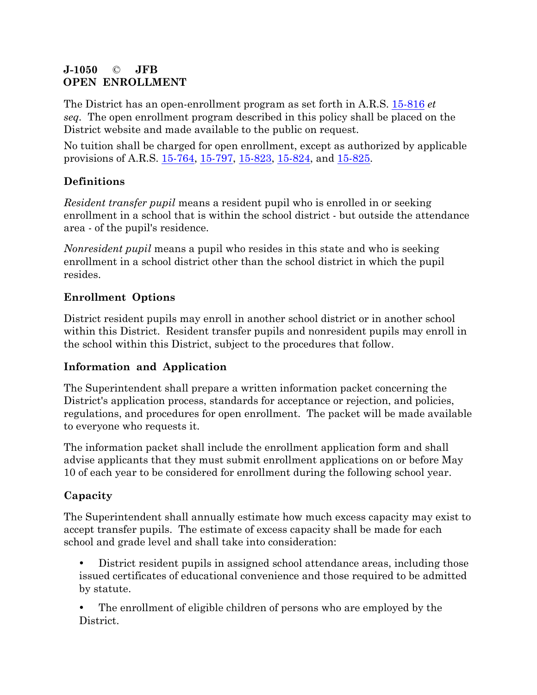### **J-1050** © **JFB OPEN ENROLLMENT**

The District has an open-enrollment program as set forth in A.R.S. 15-816 *et seq.* The open enrollment program described in this policy shall be placed on the District website and made available to the public on request.

No tuition shall be charged for open enrollment, except as authorized by applicable provisions of A.R.S. 15-764, 15-797, 15-823, 15-824, and 15-825.

# **Definitions**

*Resident transfer pupil* means a resident pupil who is enrolled in or seeking enrollment in a school that is within the school district - but outside the attendance area - of the pupil's residence.

*Nonresident pupil* means a pupil who resides in this state and who is seeking enrollment in a school district other than the school district in which the pupil resides.

## **Enrollment Options**

District resident pupils may enroll in another school district or in another school within this District. Resident transfer pupils and nonresident pupils may enroll in the school within this District, subject to the procedures that follow.

## **Information and Application**

The Superintendent shall prepare a written information packet concerning the District's application process, standards for acceptance or rejection, and policies, regulations, and procedures for open enrollment. The packet will be made available to everyone who requests it.

The information packet shall include the enrollment application form and shall advise applicants that they must submit enrollment applications on or before May 10 of each year to be considered for enrollment during the following school year.

# **Capacity**

The Superintendent shall annually estimate how much excess capacity may exist to accept transfer pupils. The estimate of excess capacity shall be made for each school and grade level and shall take into consideration:

 District resident pupils in assigned school attendance areas, including those issued certificates of educational convenience and those required to be admitted by statute.

 The enrollment of eligible children of persons who are employed by the District.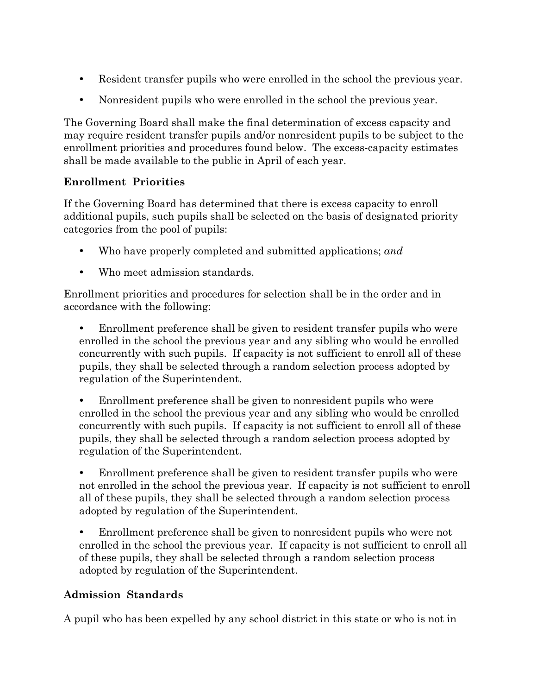- Resident transfer pupils who were enrolled in the school the previous year.
- Nonresident pupils who were enrolled in the school the previous year.

The Governing Board shall make the final determination of excess capacity and may require resident transfer pupils and/or nonresident pupils to be subject to the enrollment priorities and procedures found below. The excess-capacity estimates shall be made available to the public in April of each year.

### **Enrollment Priorities**

If the Governing Board has determined that there is excess capacity to enroll additional pupils, such pupils shall be selected on the basis of designated priority categories from the pool of pupils:

- Who have properly completed and submitted applications; *and*
- Who meet admission standards.

Enrollment priorities and procedures for selection shall be in the order and in accordance with the following:

 Enrollment preference shall be given to resident transfer pupils who were enrolled in the school the previous year and any sibling who would be enrolled concurrently with such pupils. If capacity is not sufficient to enroll all of these pupils, they shall be selected through a random selection process adopted by regulation of the Superintendent.

 Enrollment preference shall be given to nonresident pupils who were enrolled in the school the previous year and any sibling who would be enrolled concurrently with such pupils. If capacity is not sufficient to enroll all of these pupils, they shall be selected through a random selection process adopted by regulation of the Superintendent.

 Enrollment preference shall be given to resident transfer pupils who were not enrolled in the school the previous year. If capacity is not sufficient to enroll all of these pupils, they shall be selected through a random selection process adopted by regulation of the Superintendent.

 Enrollment preference shall be given to nonresident pupils who were not enrolled in the school the previous year. If capacity is not sufficient to enroll all of these pupils, they shall be selected through a random selection process adopted by regulation of the Superintendent.

#### **Admission Standards**

A pupil who has been expelled by any school district in this state or who is not in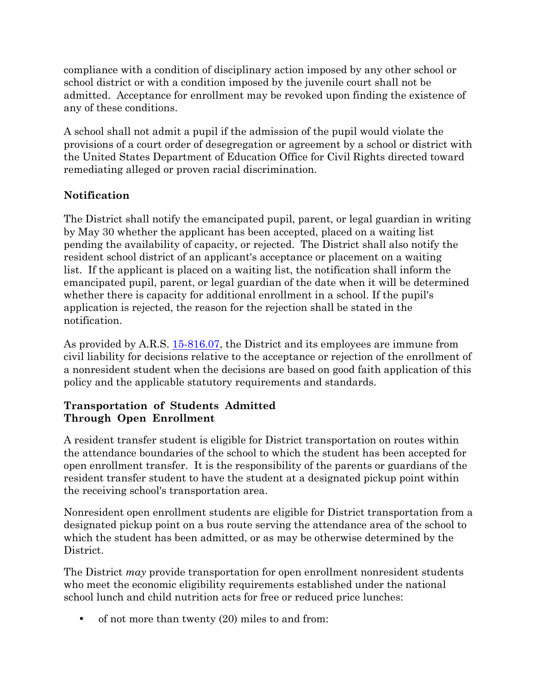compliance with a condition of disciplinary action imposed by any other school or school district or with a condition imposed by the juvenile court shall not be admitted. Acceptance for enrollment may be revoked upon finding the existence of any of these conditions.

A school shall not admit a pupil if the admission of the pupil would violate the provisions of a court order of desegregation or agreement by a school or district with the United States Department of Education Office for Civil Rights directed toward remediating alleged or proven racial discrimination.

## **Notification**

The District shall notify the emancipated pupil, parent, or legal guardian in writing by May 30 whether the applicant has been accepted, placed on a waiting list pending the availability of capacity, or rejected. The District shall also notify the resident school district of an applicant's acceptance or placement on a waiting list. If the applicant is placed on a waiting list, the notification shall inform the emancipated pupil, parent, or legal guardian of the date when it will be determined whether there is capacity for additional enrollment in a school. If the pupil's application is rejected, the reason for the rejection shall be stated in the notification.

As provided by A.R.S. 15-816.07, the District and its employees are immune from civil liability for decisions relative to the acceptance or rejection of the enrollment of a nonresident student when the decisions are based on good faith application of this policy and the applicable statutory requirements and standards.

### **Transportation of Students Admitted Through Open Enrollment**

A resident transfer student is eligible for District transportation on routes within the attendance boundaries of the school to which the student has been accepted for open enrollment transfer. It is the responsibility of the parents or guardians of the resident transfer student to have the student at a designated pickup point within the receiving school's transportation area.

Nonresident open enrollment students are eligible for District transportation from a designated pickup point on a bus route serving the attendance area of the school to which the student has been admitted, or as may be otherwise determined by the District.

The District *may* provide transportation for open enrollment nonresident students who meet the economic eligibility requirements established under the national school lunch and child nutrition acts for free or reduced price lunches:

• of not more than twenty (20) miles to and from: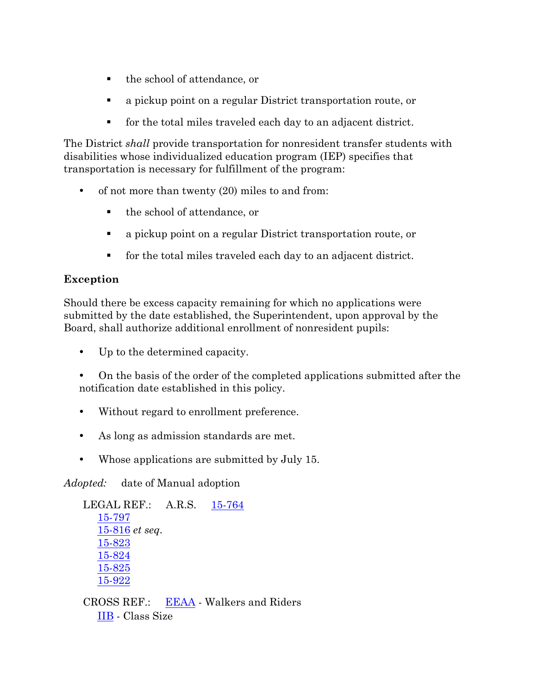- the school of attendance, or
- a pickup point on a regular District transportation route, or
- for the total miles traveled each day to an adjacent district.

The District *shall* provide transportation for nonresident transfer students with disabilities whose individualized education program (IEP) specifies that transportation is necessary for fulfillment of the program:

- of not more than twenty (20) miles to and from:
	- the school of attendance, or
	- a pickup point on a regular District transportation route, or
	- for the total miles traveled each day to an adjacent district.

## **Exception**

Should there be excess capacity remaining for which no applications were submitted by the date established, the Superintendent, upon approval by the Board, shall authorize additional enrollment of nonresident pupils:

- Up to the determined capacity.
- On the basis of the order of the completed applications submitted after the notification date established in this policy.
- Without regard to enrollment preference.
- As long as admission standards are met.
- Whose applications are submitted by July 15.

*Adopted:* date of Manual adoption

```
LEGAL REF.: A.R.S. 15-764
15-797
15-816 et seq.
15-823
15-824
15-825
15-922
```
CROSS REF.: EEAA - Walkers and Riders IIB - Class Size